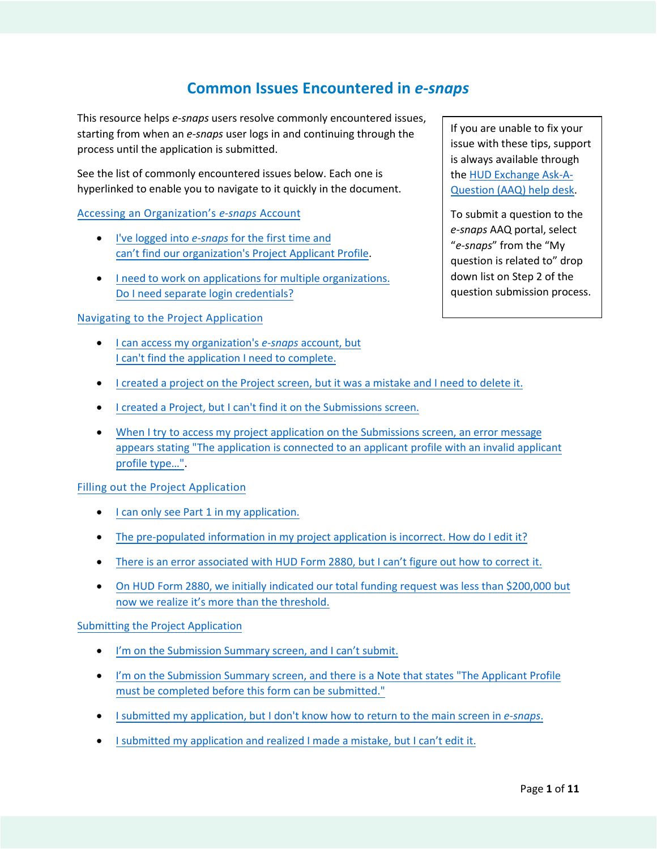# **Common Issues Encountered in** *e-snaps*

This resource helps *e-snaps* users resolve commonly encountered issues, starting from when an *e-snaps* user logs in and continuing through the process until the application is submitted.

See the list of commonly encountered issues below. Each one is hyperlinked to enable you to navigate to it quickly in the document.

## Accessing an [Organization's](#page-1-0) *e-snaps* Account

- I've logged into *e-snaps* for the first time and can't find our [organization's](#page-1-0) Project Applicant Profile.
- I need to work [on applications](#page-1-0) for multiple organizations. Do I need separate login credentials?

## Navigating to [the Project Application](#page-2-0)

- I can access my organization's *e-snaps* account, but [I can't find the application I need to complete.](#page-2-0)
- [I created a project on the Project screen, but](#page-2-0) it was a mistake and I need to delete it.
- I created a [Project, but I can't find it on](#page-2-0) the Submissions screen.
- When I try to access my project application on the Submissions screen, an error message appears stating "The application is connected [to an applicant profile with](#page-3-0) an invalid applicant profile type…".

## [Filling out the Project Application](#page-4-0)

- I can only see Part 1 [in my application.](#page-4-0)
- [The pre-populated information in](#page-5-0) my project application is incorrect. How do I edit it? •
- [There is an error associated with](#page-6-0) HUD Form 2880, but I can't figure out how to correct it. •
- On HUD Form 2880, we initially indicated [our total funding request was less than](#page-6-0) \$200,000 but now we realize it's more than the threshold.

#### [Submitting the Project Application](#page-7-0)

- I'm on the Submission [Summary screen, and I](#page-7-0) can't submit.
- I'm [on the Submission Summary screen, and there is a Note that](#page-8-0) states "The Applicant Profile must be completed before this form can be submitted."
- I submitted my application, but I don't [know how to return to the](#page-9-0) main screen in *e-snaps*.
- I submitted my application and realized I [made a mistake, but](#page-9-0) I can't edit it.

If you are unable to fix your issue with these tips, support is always available through th[e HUD Exchange Ask-A-](https://www.hudexchange.info/program-support/my-question/)[Question \(AAQ\) help desk.](https://www.hudexchange.info/program-support/my-question/)

To submit a question to the *e-snaps* AAQ portal, select "*e-snaps*" from the "My question is related to" drop down list on Step 2 of the question submission process.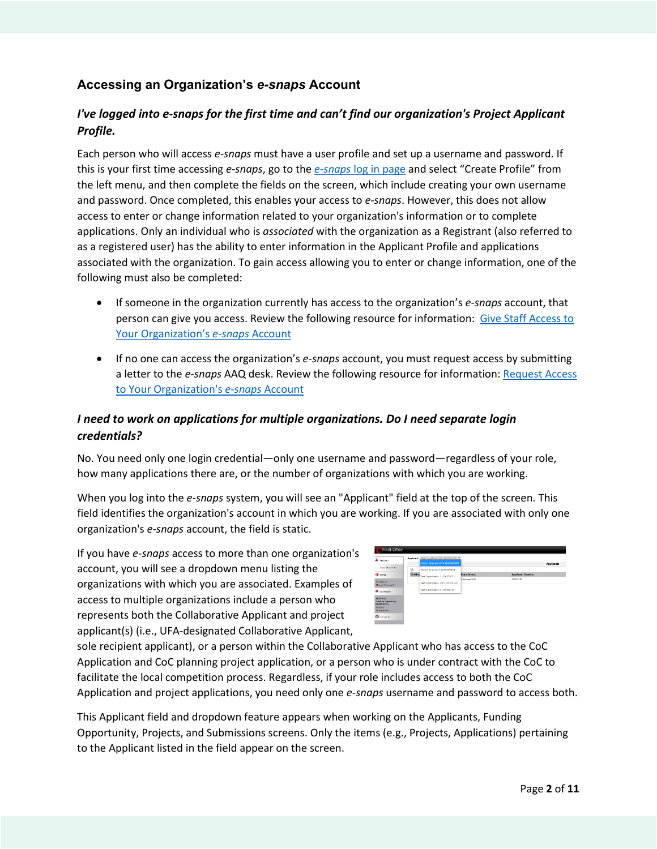## <span id="page-1-0"></span>**Accessing an Organization's** *e-snaps* **Account**

## *I've logged into e-snaps for the first time and can't find our organization's Project Applicant Profile.*

Each person who will access *e-snaps* must have a user profile and set up a username and password. If this is your first time accessing *e-snaps*, go to the *e-snaps* [log in page](https://esnaps.hud.gov/grantium/frontOffice.jsf) and select "Create Profile" from the left menu, and then complete the fields on the screen, which include creating your own username and password. Once completed, this enables your access to *e-snaps*. However, this does not allow access to enter or change information related to your organization's information or to complete applications. Only an individual who is *associated* with the organization as a Registrant (also referred to as a registered user) has the ability to enter information in the Applicant Profile and applications associated with the organization. To gain access allowing you to enter or change information, one of the following must also be completed:

- If someone in the organization currently has access to the organization's *e-snaps* account, that person can give you access. Review the following resource for information: [Give Staff Access to](https://files.hudexchange.info/resources/documents/Give-Staff-Access-to-Your-Organizations-e-snaps-Account.pdf) [Your Organization's](https://files.hudexchange.info/resources/documents/Give-Staff-Access-to-Your-Organizations-e-snaps-Account.pdf) *e-snaps* Account
- If no one can access the organization's *e-snaps* account, you must request access by submitting a letter to the *e-snaps* AAQ desk. Review the following resource for information: [Request Access](https://files.hudexchange.info/resources/documents/Request-Access-to-Your-Organizations-e-snaps-Account.pdf) [to Your Organization's](https://files.hudexchange.info/resources/documents/Request-Access-to-Your-Organizations-e-snaps-Account.pdf) *e-snaps* Account

## *I need to work on applications for multiple organizations. Do I need separate login credentials?*

No. You need only one login credential—only one username and password—regardless of your role, how many applications there are, or the number of organizations with which you are working.

When you log into the *e-snaps* system, you will see an "Applicant" field at the top of the screen. This field identifies the organization's account in which you are working. If you are associated with only one organization's *e-snaps* account, the field is static.

If you have *e-snaps* access to more than one organization's account, you will see a dropdown menu listing the organizations with which you are associated. Examples of access to multiple organizations include a person who represents both the Collaborative Applicant and project applicant(s) (i.e., UFA-designated Collaborative Applicant,

| A temper                                                                                          |         | Applicant: Project Applicant 2020 (202020208) v.<br>Project Applicant 2020 (2020/20208) |                   |                         | <b>Applicants</b> |
|---------------------------------------------------------------------------------------------------|---------|-----------------------------------------------------------------------------------------|-------------------|-------------------------|-------------------|
| <b>Right Office Portal</b>                                                                        | Ø       | Pentect Applicant A (200320081)                                                         |                   |                         |                   |
| <b>CO</b> public                                                                                  | Childre | Test Organization 1 (200320071)                                                         | <b>Icant Name</b> | <b>Applicant Number</b> |                   |
| My Account<br>Change Password                                                                     |         | Test Organization 180 (180100100)<br>Test Organization 2 (100300720)                    | & Registers 2020  | 202020208               |                   |
| W workspace                                                                                       |         |                                                                                         |                   |                         |                   |
| Apolicante<br><b>Curding Ossertungs</b><br><b>Cantervations</b><br><b>Drebocts</b><br>Submissions |         |                                                                                         |                   |                         |                   |
| <b>Q</b> Groot W                                                                                  |         |                                                                                         |                   |                         |                   |

sole recipient applicant), or a person within the Collaborative Applicant who has access to the CoC Application and CoC planning project application, or a person who is under contract with the CoC to facilitate the local competition process. Regardless, if your role includes access to both the CoC Application and project applications, you need only one *e-snaps* username and password to access both.

This Applicant field and dropdown feature appears when working on the Applicants, Funding Opportunity, Projects, and Submissions screens. Only the items (e.g., Projects, Applications) pertaining to the Applicant listed in the field appear on the screen.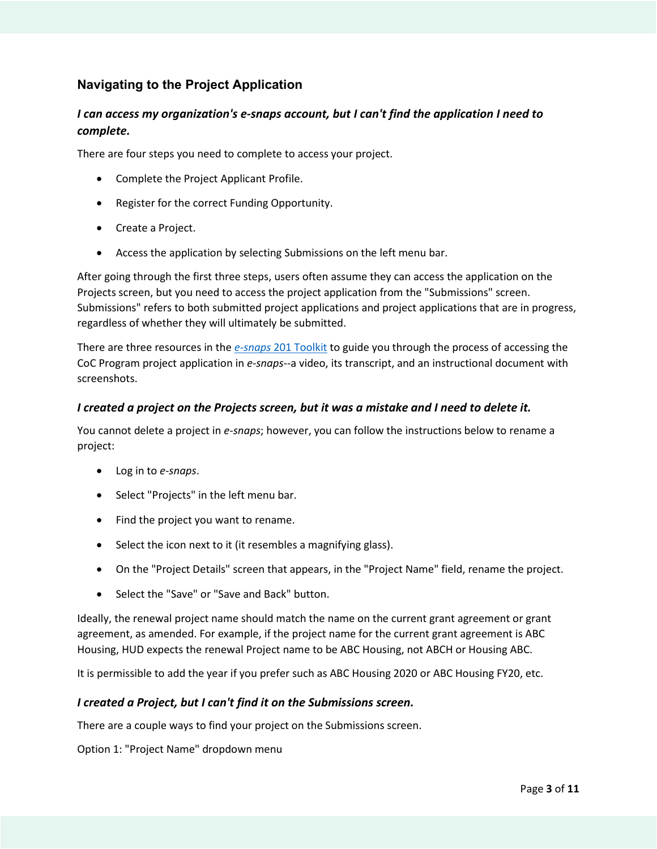## <span id="page-2-0"></span>**Navigating to the Project Application**

## *I can access my organization's e-snaps account, but I can't find the application I need to complete.*

There are four steps you need to complete to access your project.

- Complete the Project Applicant Profile.
- Register for the correct Funding Opportunity.
- Create a Project.
- Access the application by selecting Submissions on the left menu bar.

After going through the first three steps, users often assume they can access the application on the Projects screen, but you need to access the project application from the "Submissions" screen. Submissions" refers to both submitted project applications and project applications that are in progress, regardless of whether they will ultimately be submitted.

There are three resources in the *e-snaps* [201 Toolkit](https://www.hudexchange.info/resource/6171/esnaps-201-toolkit/) to guide you through the process of accessing the CoC Program project application in *e-snaps*--a video, its transcript, and an instructional document with screenshots.

## *I created a project on the Projects screen, but it was a mistake and I need to delete it.*

You cannot delete a project in *e-snaps*; however, you can follow the instructions below to rename a project:

- Log in to *e-snaps*.
- Select "Projects" in the left menu bar.
- Find the project you want to rename.
- Select the icon next to it (it resembles a magnifying glass).
- On the "Project Details" screen that appears, in the "Project Name" field, rename the project.
- Select the "Save" or "Save and Back" button.

Ideally, the renewal project name should match the name on the current grant agreement or grant agreement, as amended. For example, if the project name for the current grant agreement is ABC Housing, HUD expects the renewal Project name to be ABC Housing, not ABCH or Housing ABC.

It is permissible to add the year if you prefer such as ABC Housing 2020 or ABC Housing FY20, etc.

### *I created a Project, but I can't find it on the Submissions screen.*

There are a couple ways to find your project on the Submissions screen.

Option 1: "Project Name" dropdown menu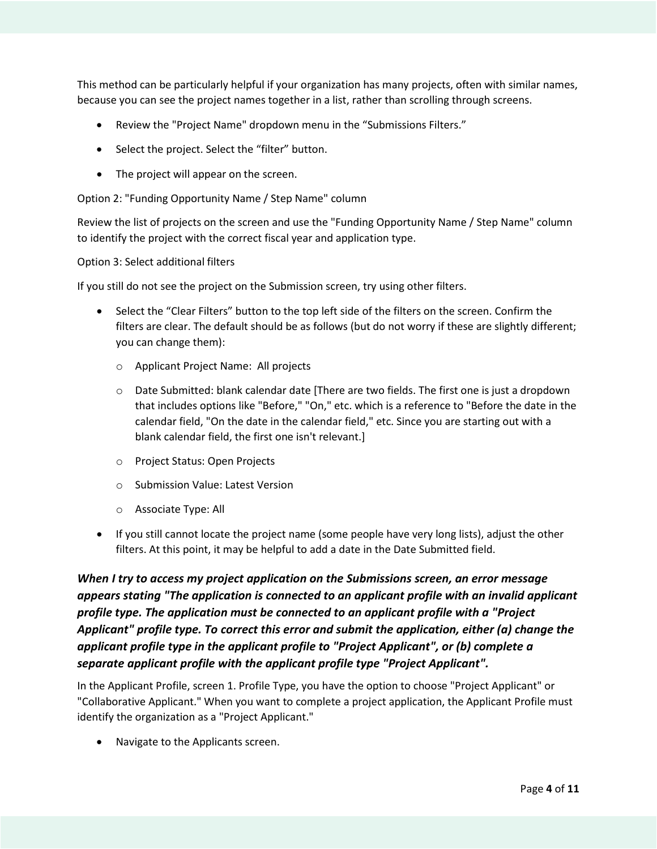<span id="page-3-0"></span>This method can be particularly helpful if your organization has many projects, often with similar names, because you can see the project names together in a list, rather than scrolling through screens.

- Review the "Project Name" dropdown menu in the "Submissions Filters."
- Select the project. Select the "filter" button.
- The project will appear on the screen.

Option 2: "Funding Opportunity Name / Step Name" column

Review the list of projects on the screen and use the "Funding Opportunity Name / Step Name" column to identify the project with the correct fiscal year and application type.

Option 3: Select additional filters

If you still do not see the project on the Submission screen, try using other filters.

- Select the "Clear Filters" button to the top left side of the filters on the screen. Confirm the filters are clear. The default should be as follows (but do not worry if these are slightly different; you can change them):
	- o Applicant Project Name: All projects
	- $\circ$  Date Submitted: blank calendar date [There are two fields. The first one is just a dropdown that includes options like "Before," "On," etc. which is a reference to "Before the date in the calendar field, "On the date in the calendar field," etc. Since you are starting out with a blank calendar field, the first one isn't relevant.]
	- o Project Status: Open Projects
	- o Submission Value: Latest Version
	- o Associate Type: All
- If you still cannot locate the project name (some people have very long lists), adjust the other filters. At this point, it may be helpful to add a date in the Date Submitted field.

*When I try to access my project application on the Submissions screen, an error message appears stating "The application is connected to an applicant profile with an invalid applicant profile type. The application must be connected to an applicant profile with a "Project Applicant" profile type. To correct this error and submit the application, either (a) change the applicant profile type in the applicant profile to "Project Applicant", or (b) complete a separate applicant profile with the applicant profile type "Project Applicant".* 

In the Applicant Profile, screen 1. Profile Type, you have the option to choose "Project Applicant" or "Collaborative Applicant." When you want to complete a project application, the Applicant Profile must identify the organization as a "Project Applicant."

• Navigate to the Applicants screen.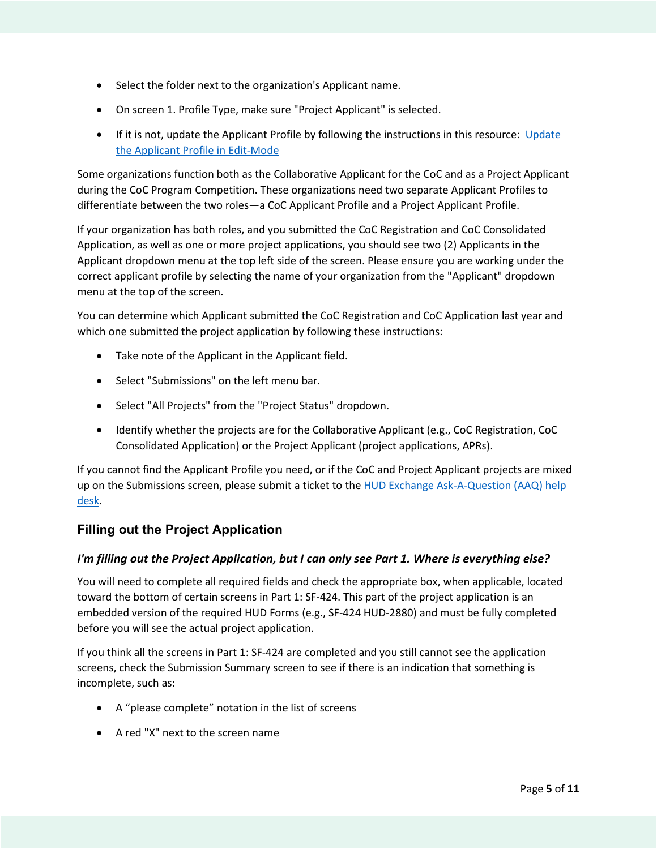- <span id="page-4-0"></span>• Select the folder next to the organization's Applicant name.
- On screen 1. Profile Type, make sure "Project Applicant" is selected.
- If it is not, update the Applicant Profile by following the instructions in this resource: [Update](https://files.hudexchange.info/resources/documents/Updating-the-Applicant-Profile.pdf) [the Applicant Profile in Edit-Mode](https://files.hudexchange.info/resources/documents/Updating-the-Applicant-Profile.pdf)

Some organizations function both as the Collaborative Applicant for the CoC and as a Project Applicant during the CoC Program Competition. These organizations need two separate Applicant Profiles to differentiate between the two roles—a CoC Applicant Profile and a Project Applicant Profile.

If your organization has both roles, and you submitted the CoC Registration and CoC Consolidated Application, as well as one or more project applications, you should see two (2) Applicants in the Applicant dropdown menu at the top left side of the screen. Please ensure you are working under the correct applicant profile by selecting the name of your organization from the "Applicant" dropdown menu at the top of the screen.

You can determine which Applicant submitted the CoC Registration and CoC Application last year and which one submitted the project application by following these instructions:

- Take note of the Applicant in the Applicant field.
- Select "Submissions" on the left menu bar.
- Select "All Projects" from the "Project Status" dropdown.
- Identify whether the projects are for the Collaborative Applicant (e.g., CoC Registration, CoC Consolidated Application) or the Project Applicant (project applications, APRs).

If you cannot find the Applicant Profile you need, or if the CoC and Project Applicant projects are mixed up on the Submissions screen, please submit a ticket to the [HUD Exchange Ask-A-Question \(AAQ\) help](https://www.hudexchange.info/program-support/my-question/)  [desk.](https://www.hudexchange.info/program-support/my-question/)

## **Filling out the Project Application**

## *I'm filling out the Project Application, but I can only see Part 1. Where is everything else?*

You will need to complete all required fields and check the appropriate box, when applicable, located toward the bottom of certain screens in Part 1: SF-424. This part of the project application is an embedded version of the required HUD Forms (e.g., SF-424 HUD-2880) and must be fully completed before you will see the actual project application.

If you think all the screens in Part 1: SF-424 are completed and you still cannot see the application screens, check the Submission Summary screen to see if there is an indication that something is incomplete, such as:

- A "please complete" notation in the list of screens
- A red "X" next to the screen name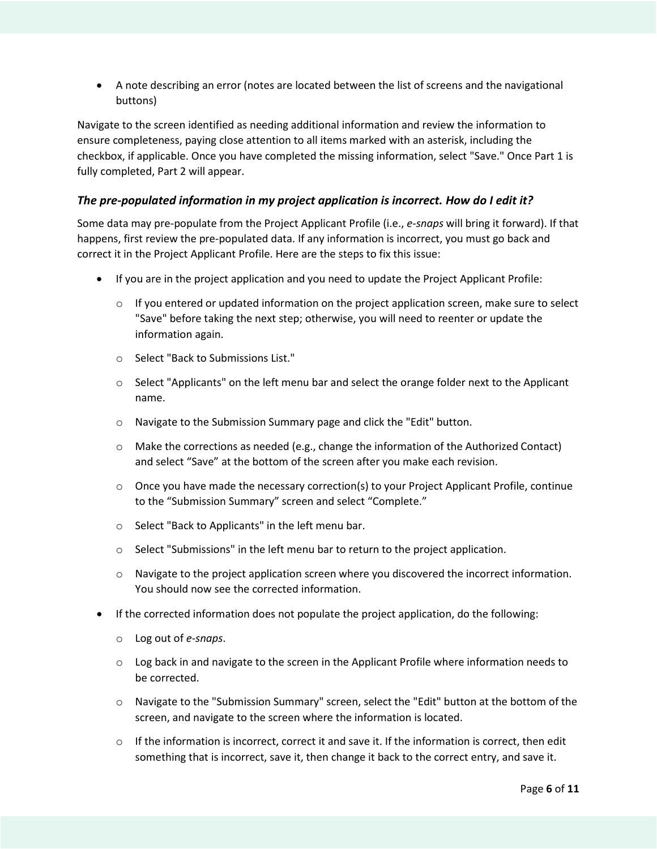<span id="page-5-0"></span>• A note describing an error (notes are located between the list of screens and the navigational buttons)

Navigate to the screen identified as needing additional information and review the information to ensure completeness, paying close attention to all items marked with an asterisk, including the checkbox, if applicable. Once you have completed the missing information, select "Save." Once Part 1 is fully completed, Part 2 will appear.

## *The pre-populated information in my project application is incorrect. How do I edit it?*

Some data may pre-populate from the Project Applicant Profile (i.e., *e-snaps* will bring it forward). If that happens, first review the pre-populated data. If any information is incorrect, you must go back and correct it in the Project Applicant Profile. Here are the steps to fix this issue:

- If you are in the project application and you need to update the Project Applicant Profile:
	- $\circ$  If you entered or updated information on the project application screen, make sure to select "Save" before taking the next step; otherwise, you will need to reenter or update the information again.
	- o Select "Back to Submissions List."
	- o Select "Applicants" on the left menu bar and select the orange folder next to the Applicant name.
	- o Navigate to the Submission Summary page and click the "Edit" button.
	- o Make the corrections as needed (e.g., change the information of the Authorized Contact) and select "Save" at the bottom of the screen after you make each revision.
	- $\circ$  Once you have made the necessary correction(s) to your Project Applicant Profile, continue to the "Submission Summary" screen and select "Complete."
	- o Select "Back to Applicants" in the left menu bar.
	- o Select "Submissions" in the left menu bar to return to the project application.
	- $\circ$  Navigate to the project application screen where you discovered the incorrect information. You should now see the corrected information.
- If the corrected information does not populate the project application, do the following:
	- o Log out of *e-snaps*.
	- $\circ$  Log back in and navigate to the screen in the Applicant Profile where information needs to be corrected.
	- o Navigate to the "Submission Summary" screen, select the "Edit" button at the bottom of the screen, and navigate to the screen where the information is located.
	- $\circ$  If the information is incorrect, correct it and save it. If the information is correct, then edit something that is incorrect, save it, then change it back to the correct entry, and save it.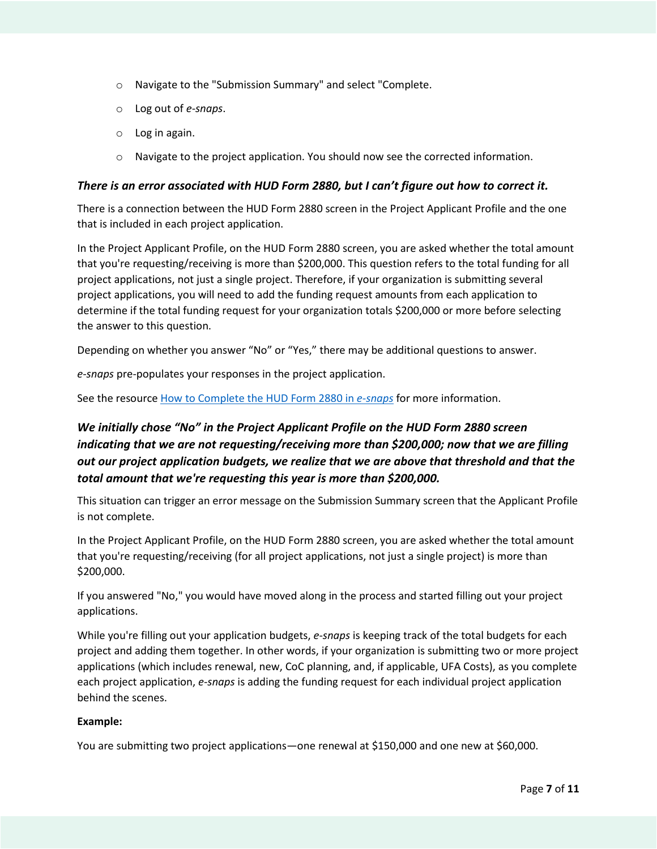- <span id="page-6-0"></span>o Navigate to the "Submission Summary" and select "Complete.
- o Log out of *e-snaps*.
- o Log in again.
- o Navigate to the project application. You should now see the corrected information.

### *There is an error associated with HUD Form 2880, but I can't figure out how to correct it.*

There is a connection between the HUD Form 2880 screen in the Project Applicant Profile and the one that is included in each project application.

In the Project Applicant Profile, on the HUD Form 2880 screen, you are asked whether the total amount that you're requesting/receiving is more than \$200,000. This question refers to the total funding for all project applications, not just a single project. Therefore, if your organization is submitting several project applications, you will need to add the funding request amounts from each application to determine if the total funding request for your organization totals \$200,000 or more before selecting the answer to this question.

Depending on whether you answer "No" or "Yes," there may be additional questions to answer.

*e-snaps* pre-populates your responses in the project application.

See the resourc[e How to Complete the HUD Form 2880 in](https://www.hudexchange.info/resource/5595/how-to-complete-the-hud-form-2880-in-e-snaps/) *e-snaps* for more information.

## *We initially chose "No" in the Project Applicant Profile on the HUD Form 2880 screen indicating that we are not requesting/receiving more than \$200,000; now that we are filling out our project application budgets, we realize that we are above that threshold and that the total amount that we're requesting this year is more than \$200,000.*

This situation can trigger an error message on the Submission Summary screen that the Applicant Profile is not complete.

In the Project Applicant Profile, on the HUD Form 2880 screen, you are asked whether the total amount that you're requesting/receiving (for all project applications, not just a single project) is more than \$200,000.

If you answered "No," you would have moved along in the process and started filling out your project applications.

While you're filling out your application budgets, *e-snaps* is keeping track of the total budgets for each project and adding them together. In other words, if your organization is submitting two or more project applications (which includes renewal, new, CoC planning, and, if applicable, UFA Costs), as you complete each project application, *e-snaps* is adding the funding request for each individual project application behind the scenes.

#### **Example:**

You are submitting two project applications—one renewal at \$150,000 and one new at \$60,000.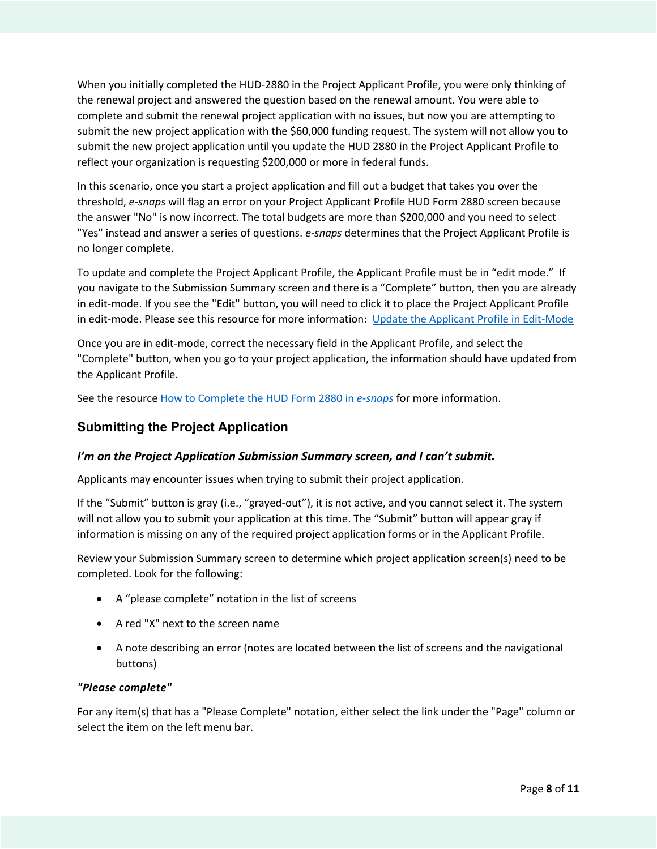<span id="page-7-0"></span>When you initially completed the HUD-2880 in the Project Applicant Profile, you were only thinking of the renewal project and answered the question based on the renewal amount. You were able to complete and submit the renewal project application with no issues, but now you are attempting to submit the new project application with the \$60,000 funding request. The system will not allow you to submit the new project application until you update the HUD 2880 in the Project Applicant Profile to reflect your organization is requesting \$200,000 or more in federal funds.

In this scenario, once you start a project application and fill out a budget that takes you over the threshold, *e-snaps* will flag an error on your Project Applicant Profile HUD Form 2880 screen because the answer "No" is now incorrect. The total budgets are more than \$200,000 and you need to select "Yes" instead and answer a series of questions. *e-snaps* determines that the Project Applicant Profile is no longer complete.

To update and complete the Project Applicant Profile, the Applicant Profile must be in "edit mode." If you navigate to the Submission Summary screen and there is a "Complete" button, then you are already in edit-mode. If you see the "Edit" button, you will need to click it to place the Project Applicant Profile in edit-mode. Please see this resource for more information: [Update the Applicant Profile in Edit-Mode](https://files.hudexchange.info/resources/documents/Updating-the-Applicant-Profile.pdf) 

Once you are in edit-mode, correct the necessary field in the Applicant Profile, and select the "Complete" button, when you go to your project application, the information should have updated from the Applicant Profile.

See the resourc[e How to Complete the HUD Form 2880 in](https://www.hudexchange.info/resource/5595/how-to-complete-the-hud-form-2880-in-e-snaps/) *e-snaps* for more information.

## **Submitting the Project Application**

## *I'm on the Project Application Submission Summary screen, and I can't submit.*

Applicants may encounter issues when trying to submit their project application.

If the "Submit" button is gray (i.e., "grayed-out"), it is not active, and you cannot select it. The system will not allow you to submit your application at this time. The "Submit" button will appear gray if information is missing on any of the required project application forms or in the Applicant Profile.

Review your Submission Summary screen to determine which project application screen(s) need to be completed. Look for the following:

- A "please complete" notation in the list of screens
- A red "X" next to the screen name
- A note describing an error (notes are located between the list of screens and the navigational buttons)

## *"Please complete"*

For any item(s) that has a "Please Complete" notation, either select the link under the "Page" column or select the item on the left menu bar.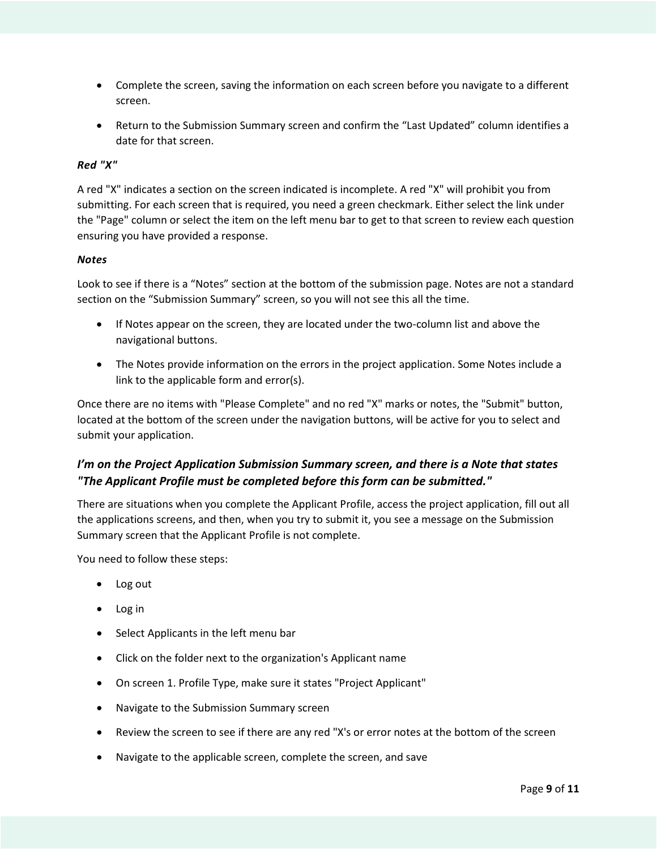- <span id="page-8-0"></span>• Complete the screen, saving the information on each screen before you navigate to a different screen.
- Return to the Submission Summary screen and confirm the "Last Updated" column identifies a date for that screen.

## *Red "X"*

A red "X" indicates a section on the screen indicated is incomplete. A red "X" will prohibit you from submitting. For each screen that is required, you need a green checkmark. Either select the link under the "Page" column or select the item on the left menu bar to get to that screen to review each question ensuring you have provided a response.

## *Notes*

Look to see if there is a "Notes" section at the bottom of the submission page. Notes are not a standard section on the "Submission Summary" screen, so you will not see this all the time.

- If Notes appear on the screen, they are located under the two-column list and above the navigational buttons.
- The Notes provide information on the errors in the project application. Some Notes include a link to the applicable form and error(s).

Once there are no items with "Please Complete" and no red "X" marks or notes, the "Submit" button, located at the bottom of the screen under the navigation buttons, will be active for you to select and submit your application.

## *I'm on the Project Application Submission Summary screen, and there is a Note that states "The Applicant Profile must be completed before this form can be submitted."*

There are situations when you complete the Applicant Profile, access the project application, fill out all the applications screens, and then, when you try to submit it, you see a message on the Submission Summary screen that the Applicant Profile is not complete.

You need to follow these steps:

- Log out
- Log in
- Select Applicants in the left menu bar
- Click on the folder next to the organization's Applicant name
- On screen 1. Profile Type, make sure it states "Project Applicant"
- Navigate to the Submission Summary screen
- Review the screen to see if there are any red "X's or error notes at the bottom of the screen
- Navigate to the applicable screen, complete the screen, and save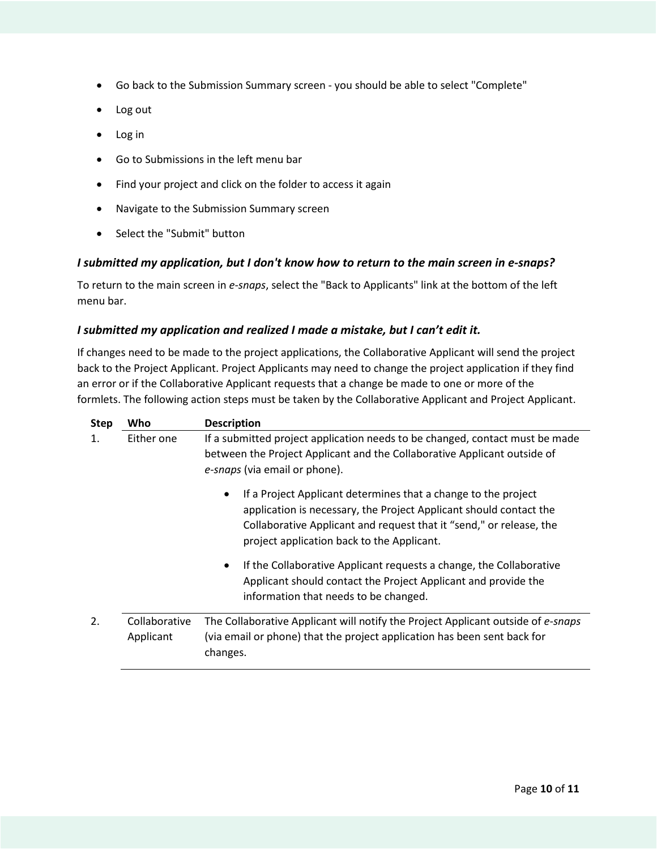- <span id="page-9-0"></span>• Go back to the Submission Summary screen - you should be able to select "Complete"
- Log out
- Log in
- Go to Submissions in the left menu bar
- Find your project and click on the folder to access it again
- Navigate to the Submission Summary screen
- Select the "Submit" button

## *I submitted my application, but I don't know how to return to the main screen in e-snaps?*

To return to the main screen in *e-snaps*, select the "Back to Applicants" link at the bottom of the left menu bar.

## *I submitted my application and realized I made a mistake, but I can't edit it.*

If changes need to be made to the project applications, the Collaborative Applicant will send the project back to the Project Applicant. Project Applicants may need to change the project application if they find an error or if the Collaborative Applicant requests that a change be made to one or more of the formlets. The following action steps must be taken by the Collaborative Applicant and Project Applicant.

| <b>Step</b> | Who                        | <b>Description</b>                                                                                                                                                                                                                                        |  |  |
|-------------|----------------------------|-----------------------------------------------------------------------------------------------------------------------------------------------------------------------------------------------------------------------------------------------------------|--|--|
| 1.          | Either one                 | If a submitted project application needs to be changed, contact must be made                                                                                                                                                                              |  |  |
|             |                            | between the Project Applicant and the Collaborative Applicant outside of<br>e-snaps (via email or phone).                                                                                                                                                 |  |  |
|             |                            | If a Project Applicant determines that a change to the project<br>application is necessary, the Project Applicant should contact the<br>Collaborative Applicant and request that it "send," or release, the<br>project application back to the Applicant. |  |  |
|             |                            | If the Collaborative Applicant requests a change, the Collaborative<br>$\bullet$<br>Applicant should contact the Project Applicant and provide the<br>information that needs to be changed.                                                               |  |  |
| 2.          | Collaborative<br>Applicant | The Collaborative Applicant will notify the Project Applicant outside of e-snaps<br>(via email or phone) that the project application has been sent back for<br>changes.                                                                                  |  |  |